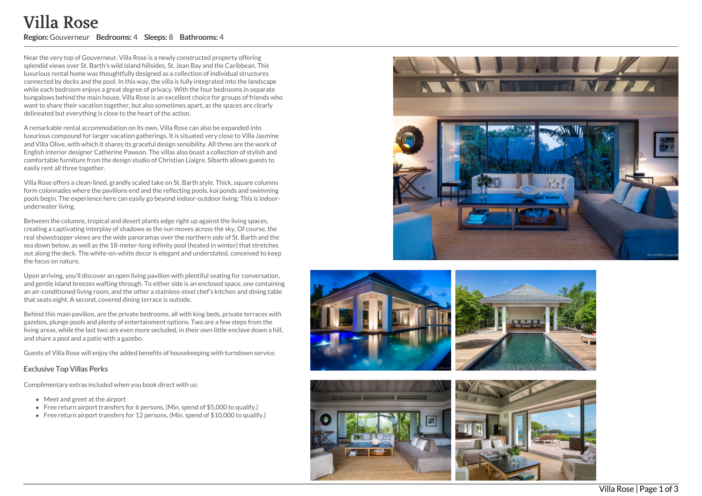Near the very top of Gouverneur, Villa Rose is a newly constructed property offering splendid views over St. Barth's wild island hillsides, St. Jean Bay and the Caribbean. This luxurious rental home was thoughtfully designed as a collection of individual structures connected by decks and the pool. In this way, the villa is fully integrated into the landsca p e while each bedroom enjoys a great degree of privacy. With the four bedrooms in separate bungalows behind the main house, Villa Rose is an excellent choice for groups of friends who want to share their vacation together, but also sometimes apart, as the spaces are clearly delineated but everything is close to the heart of the action. **Villa ROSE**<br> **Region:** Gouverneur Bedrooms: 4 Sleeps: 8 Bathrooms: 4<br>
Near the wery top of Gouverneur, Villa Rose is a newly constructed property offering<br>
algehid views over St. Bartin's wills bisine, 3. Lean Bay and the

A remarkable rental accommodation on its own, Villa Rose can also be expanded into luxurious compound for larger vacation gatherings. It is situated very close to Villa Ja s min e and Villa Olive, with which it shares its graceful design sensibility. All three are the work of English interior designer Catherine Pawson. The villas also boast a collection of stylish and comfortable furniture from the design studio of Christian Liaigre. Sibarth allows guests to easily rent all three together.

Villa Rose offers a clean-lined, grandly scaled take on St. Barth style. Thick, square columns form colonnades where the pavilions end and the reflecting pools, koi ponds and swimming pools begin. The experience here can easily go beyond indoor-outdoor living: This is indoorunderwater living.

Between the columns, tropical and desert plants edge right up against the living spaces, creating a captivating interplay of shadows as the sun moves across the sky. Of course, t h e real showstopper views are the wide panoramas over the northern side of St. Barth and the sea down below, as well as the 18-meter-long infinity pool (heated in winter) that stretches out along the deck. The white-on-white decor is elegant and understated, conceived to keep the focus on nature.

Upon arriving, you'll discover an open living pavilion with plentiful seating for conversation, and gentle island breezes wafting through. To either side is an enclosed space, one containin g an air-conditioned living room, and the other a stainless-steel chef's kitchen and dining table that seats eight. A second, covered dining terrace is outside.

Behind this main pavilion, are the private bedrooms, all with king beds, private terraces with gazebos, plunge pools and plenty of entertainment options. Two are a few steps from the living areas, while the last two are even more secluded, in their own little enclave down a hill, and share a pool and a patio with a gazebo.

Guests of Villa Rose will enjoy the added benefits of housekeeping with turndown service.

## Exclusive Top Villas Perks

Complimentary extras included when you book direct with us:

- Meet and greet at the airport
- Free return airport transfers for 6 persons, (Min. spend of \$5,000 to qualify.)
- 









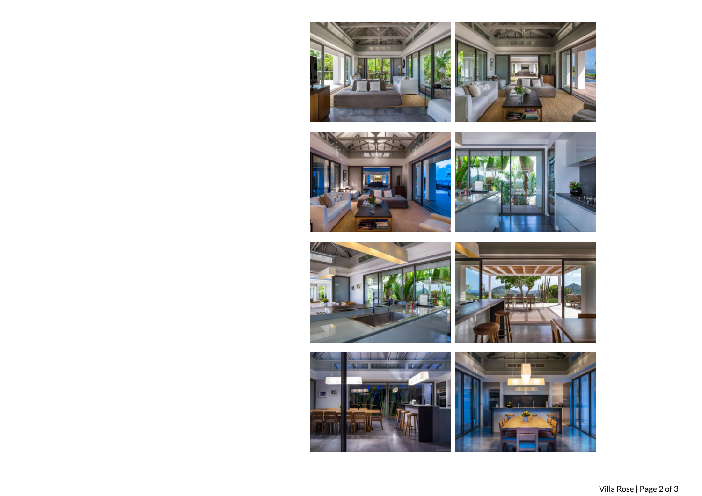